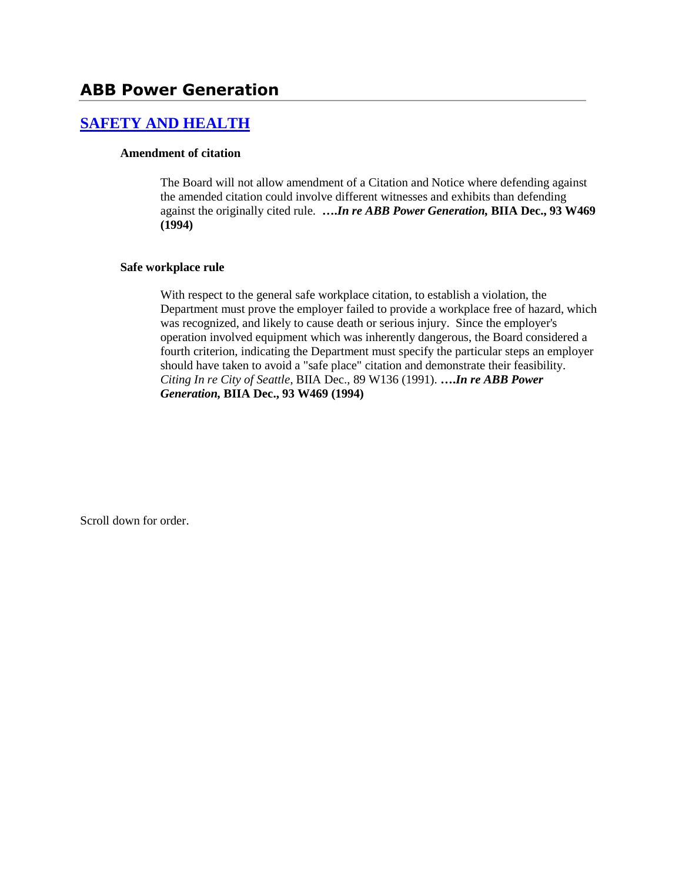## **[SAFETY AND HEALTH](http://www.biia.wa.gov/SDSubjectIndex.html#SAFETY_AND_HEALTH)**

#### **Amendment of citation**

The Board will not allow amendment of a Citation and Notice where defending against the amended citation could involve different witnesses and exhibits than defending against the originally cited rule. **….***In re ABB Power Generation,* **BIIA Dec., 93 W469 (1994)**

#### **Safe workplace rule**

With respect to the general safe workplace citation, to establish a violation, the Department must prove the employer failed to provide a workplace free of hazard, which was recognized, and likely to cause death or serious injury. Since the employer's operation involved equipment which was inherently dangerous, the Board considered a fourth criterion, indicating the Department must specify the particular steps an employer should have taken to avoid a "safe place" citation and demonstrate their feasibility. *Citing In re City of Seattle*, BIIA Dec., 89 W136 (1991). **….***In re ABB Power Generation,* **BIIA Dec., 93 W469 (1994)** 

Scroll down for order.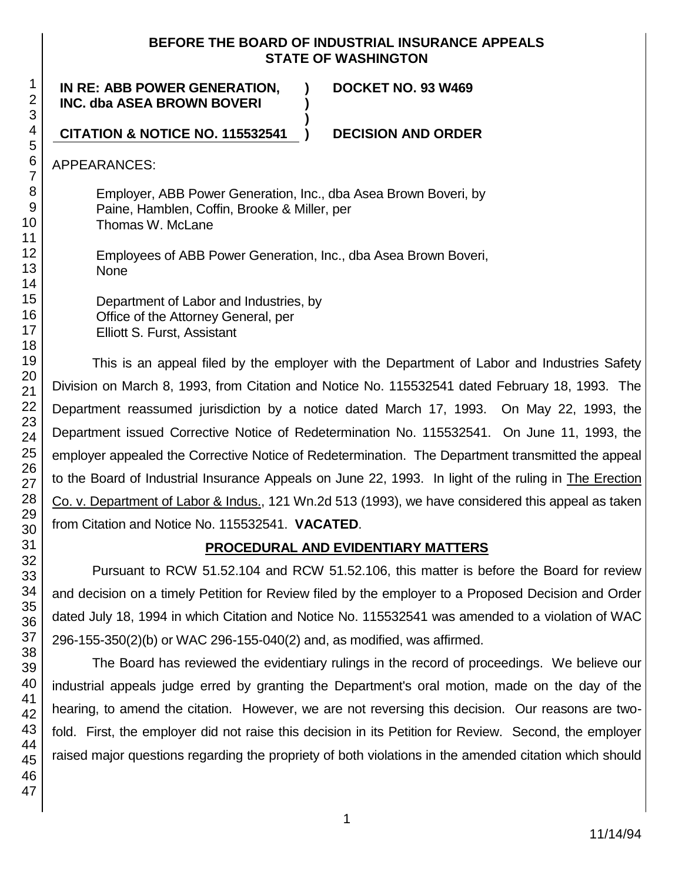### **BEFORE THE BOARD OF INDUSTRIAL INSURANCE APPEALS STATE OF WASHINGTON**

**IN RE: ABB POWER GENERATION, INC. dba ASEA BROWN BOVERI**

**DOCKET NO. 93 W469**

**CITATION & NOTICE NO. 115532541 ) DECISION AND ORDER**

APPEARANCES:

Employer, ABB Power Generation, Inc., dba Asea Brown Boveri, by Paine, Hamblen, Coffin, Brooke & Miller, per Thomas W. McLane

**) )**

**)**

Employees of ABB Power Generation, Inc., dba Asea Brown Boveri, None

Department of Labor and Industries, by Office of the Attorney General, per Elliott S. Furst, Assistant

This is an appeal filed by the employer with the Department of Labor and Industries Safety Division on March 8, 1993, from Citation and Notice No. 115532541 dated February 18, 1993. The Department reassumed jurisdiction by a notice dated March 17, 1993. On May 22, 1993, the Department issued Corrective Notice of Redetermination No. 115532541. On June 11, 1993, the employer appealed the Corrective Notice of Redetermination. The Department transmitted the appeal to the Board of Industrial Insurance Appeals on June 22, 1993. In light of the ruling in The Erection Co. v. Department of Labor & Indus., 121 Wn.2d 513 (1993), we have considered this appeal as taken from Citation and Notice No. 115532541. **VACATED**.

# **PROCEDURAL AND EVIDENTIARY MATTERS**

Pursuant to RCW 51.52.104 and RCW 51.52.106, this matter is before the Board for review and decision on a timely Petition for Review filed by the employer to a Proposed Decision and Order dated July 18, 1994 in which Citation and Notice No. 115532541 was amended to a violation of WAC 296-155-350(2)(b) or WAC 296-155-040(2) and, as modified, was affirmed.

The Board has reviewed the evidentiary rulings in the record of proceedings. We believe our industrial appeals judge erred by granting the Department's oral motion, made on the day of the hearing, to amend the citation. However, we are not reversing this decision. Our reasons are twofold. First, the employer did not raise this decision in its Petition for Review. Second, the employer raised major questions regarding the propriety of both violations in the amended citation which should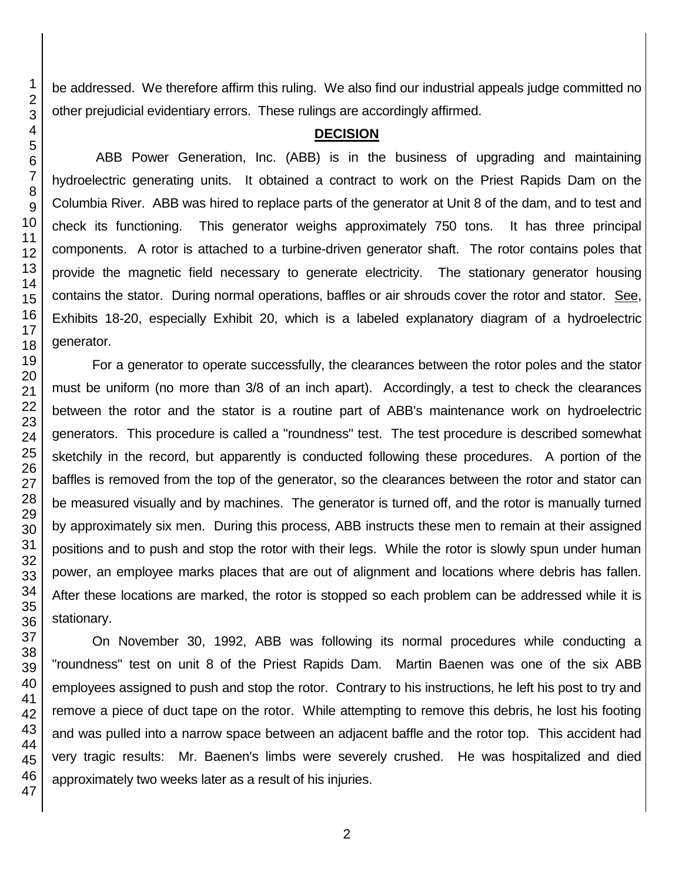be addressed. We therefore affirm this ruling. We also find our industrial appeals judge committed no other prejudicial evidentiary errors. These rulings are accordingly affirmed.

#### **DECISION**

ABB Power Generation, Inc. (ABB) is in the business of upgrading and maintaining hydroelectric generating units. It obtained a contract to work on the Priest Rapids Dam on the Columbia River. ABB was hired to replace parts of the generator at Unit 8 of the dam, and to test and check its functioning. This generator weighs approximately 750 tons. It has three principal components. A rotor is attached to a turbine-driven generator shaft. The rotor contains poles that provide the magnetic field necessary to generate electricity. The stationary generator housing contains the stator. During normal operations, baffles or air shrouds cover the rotor and stator. See, Exhibits 18-20, especially Exhibit 20, which is a labeled explanatory diagram of a hydroelectric generator.

For a generator to operate successfully, the clearances between the rotor poles and the stator must be uniform (no more than 3/8 of an inch apart). Accordingly, a test to check the clearances between the rotor and the stator is a routine part of ABB's maintenance work on hydroelectric generators. This procedure is called a "roundness" test. The test procedure is described somewhat sketchily in the record, but apparently is conducted following these procedures. A portion of the baffles is removed from the top of the generator, so the clearances between the rotor and stator can be measured visually and by machines. The generator is turned off, and the rotor is manually turned by approximately six men. During this process, ABB instructs these men to remain at their assigned positions and to push and stop the rotor with their legs. While the rotor is slowly spun under human power, an employee marks places that are out of alignment and locations where debris has fallen. After these locations are marked, the rotor is stopped so each problem can be addressed while it is stationary.

On November 30, 1992, ABB was following its normal procedures while conducting a "roundness" test on unit 8 of the Priest Rapids Dam. Martin Baenen was one of the six ABB employees assigned to push and stop the rotor. Contrary to his instructions, he left his post to try and remove a piece of duct tape on the rotor. While attempting to remove this debris, he lost his footing and was pulled into a narrow space between an adjacent baffle and the rotor top. This accident had very tragic results: Mr. Baenen's limbs were severely crushed. He was hospitalized and died approximately two weeks later as a result of his injuries.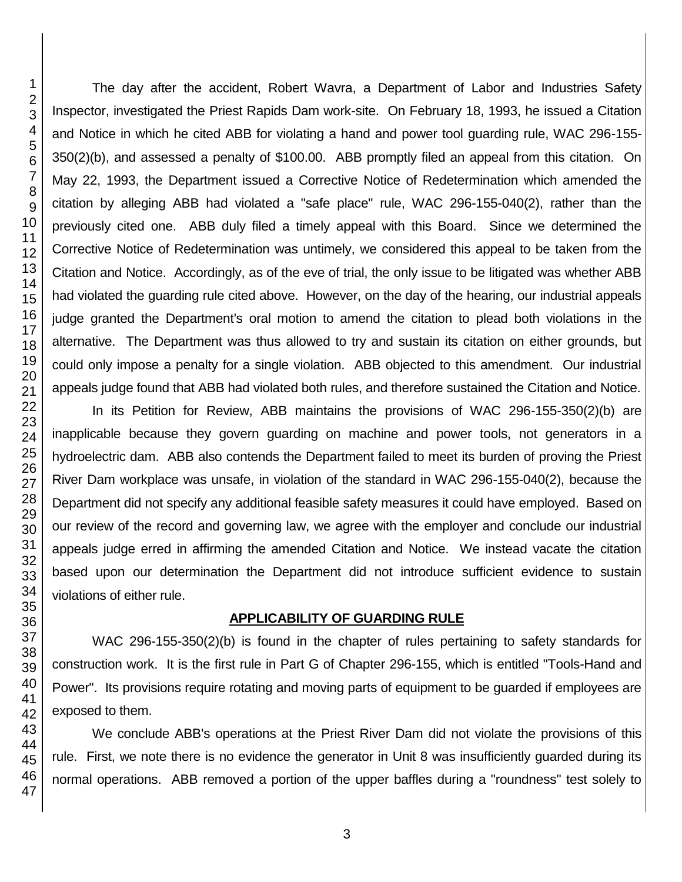The day after the accident, Robert Wavra, a Department of Labor and Industries Safety Inspector, investigated the Priest Rapids Dam work-site. On February 18, 1993, he issued a Citation and Notice in which he cited ABB for violating a hand and power tool guarding rule, WAC 296-155- 350(2)(b), and assessed a penalty of \$100.00. ABB promptly filed an appeal from this citation. On May 22, 1993, the Department issued a Corrective Notice of Redetermination which amended the citation by alleging ABB had violated a "safe place" rule, WAC 296-155-040(2), rather than the previously cited one. ABB duly filed a timely appeal with this Board. Since we determined the Corrective Notice of Redetermination was untimely, we considered this appeal to be taken from the Citation and Notice. Accordingly, as of the eve of trial, the only issue to be litigated was whether ABB had violated the guarding rule cited above. However, on the day of the hearing, our industrial appeals judge granted the Department's oral motion to amend the citation to plead both violations in the alternative. The Department was thus allowed to try and sustain its citation on either grounds, but could only impose a penalty for a single violation. ABB objected to this amendment. Our industrial appeals judge found that ABB had violated both rules, and therefore sustained the Citation and Notice.

In its Petition for Review, ABB maintains the provisions of WAC 296-155-350(2)(b) are inapplicable because they govern guarding on machine and power tools, not generators in a hydroelectric dam. ABB also contends the Department failed to meet its burden of proving the Priest River Dam workplace was unsafe, in violation of the standard in WAC 296-155-040(2), because the Department did not specify any additional feasible safety measures it could have employed. Based on our review of the record and governing law, we agree with the employer and conclude our industrial appeals judge erred in affirming the amended Citation and Notice. We instead vacate the citation based upon our determination the Department did not introduce sufficient evidence to sustain violations of either rule.

### **APPLICABILITY OF GUARDING RULE**

WAC 296-155-350(2)(b) is found in the chapter of rules pertaining to safety standards for construction work. It is the first rule in Part G of Chapter 296-155, which is entitled "Tools-Hand and Power". Its provisions require rotating and moving parts of equipment to be guarded if employees are exposed to them.

We conclude ABB's operations at the Priest River Dam did not violate the provisions of this rule. First, we note there is no evidence the generator in Unit 8 was insufficiently guarded during its normal operations. ABB removed a portion of the upper baffles during a "roundness" test solely to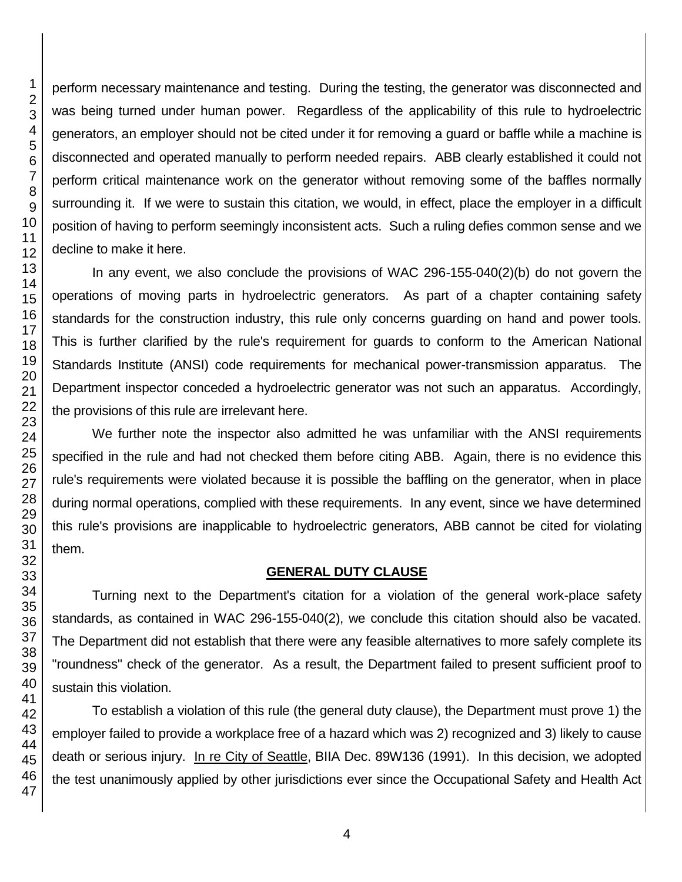perform necessary maintenance and testing. During the testing, the generator was disconnected and was being turned under human power. Regardless of the applicability of this rule to hydroelectric generators, an employer should not be cited under it for removing a guard or baffle while a machine is disconnected and operated manually to perform needed repairs. ABB clearly established it could not perform critical maintenance work on the generator without removing some of the baffles normally surrounding it. If we were to sustain this citation, we would, in effect, place the employer in a difficult position of having to perform seemingly inconsistent acts. Such a ruling defies common sense and we decline to make it here.

In any event, we also conclude the provisions of WAC 296-155-040(2)(b) do not govern the operations of moving parts in hydroelectric generators. As part of a chapter containing safety standards for the construction industry, this rule only concerns guarding on hand and power tools. This is further clarified by the rule's requirement for guards to conform to the American National Standards Institute (ANSI) code requirements for mechanical power-transmission apparatus. The Department inspector conceded a hydroelectric generator was not such an apparatus. Accordingly, the provisions of this rule are irrelevant here.

We further note the inspector also admitted he was unfamiliar with the ANSI requirements specified in the rule and had not checked them before citing ABB. Again, there is no evidence this rule's requirements were violated because it is possible the baffling on the generator, when in place during normal operations, complied with these requirements. In any event, since we have determined this rule's provisions are inapplicable to hydroelectric generators, ABB cannot be cited for violating

## **GENERAL DUTY CLAUSE**

Turning next to the Department's citation for a violation of the general work-place safety standards, as contained in WAC 296-155-040(2), we conclude this citation should also be vacated. The Department did not establish that there were any feasible alternatives to more safely complete its "roundness" check of the generator. As a result, the Department failed to present sufficient proof to sustain this violation.

To establish a violation of this rule (the general duty clause), the Department must prove 1) the employer failed to provide a workplace free of a hazard which was 2) recognized and 3) likely to cause death or serious injury. In re City of Seattle, BIIA Dec. 89W136 (1991). In this decision, we adopted the test unanimously applied by other jurisdictions ever since the Occupational Safety and Health Act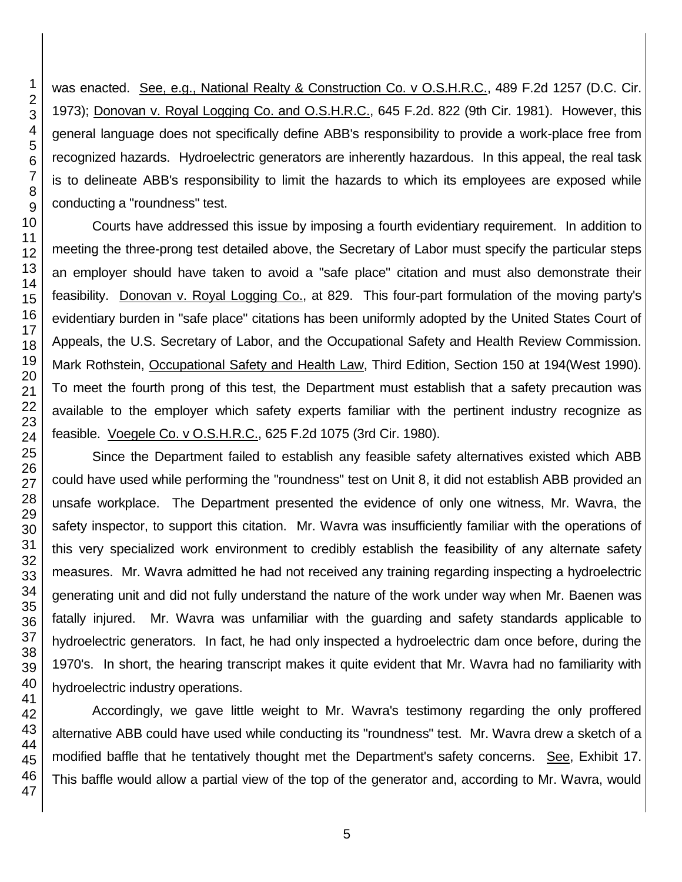was enacted. See, e.g., National Realty & Construction Co. v O.S.H.R.C., 489 F.2d 1257 (D.C. Cir. 1973); Donovan v. Royal Logging Co. and O.S.H.R.C., 645 F.2d. 822 (9th Cir. 1981). However, this general language does not specifically define ABB's responsibility to provide a work-place free from recognized hazards. Hydroelectric generators are inherently hazardous. In this appeal, the real task is to delineate ABB's responsibility to limit the hazards to which its employees are exposed while conducting a "roundness" test. Courts have addressed this issue by imposing a fourth evidentiary requirement. In addition to meeting the three-prong test detailed above, the Secretary of Labor must specify the particular steps an employer should have taken to avoid a "safe place" citation and must also demonstrate their feasibility. Donovan v. Royal Logging Co., at 829. This four-part formulation of the moving party's evidentiary burden in "safe place" citations has been uniformly adopted by the United States Court of Appeals, the U.S. Secretary of Labor, and the Occupational Safety and Health Review Commission.

Mark Rothstein, Occupational Safety and Health Law, Third Edition, Section 150 at 194(West 1990). To meet the fourth prong of this test, the Department must establish that a safety precaution was available to the employer which safety experts familiar with the pertinent industry recognize as feasible. Voegele Co. v O.S.H.R.C., 625 F.2d 1075 (3rd Cir. 1980).

Since the Department failed to establish any feasible safety alternatives existed which ABB could have used while performing the "roundness" test on Unit 8, it did not establish ABB provided an unsafe workplace. The Department presented the evidence of only one witness, Mr. Wavra, the safety inspector, to support this citation. Mr. Wavra was insufficiently familiar with the operations of this very specialized work environment to credibly establish the feasibility of any alternate safety measures. Mr. Wavra admitted he had not received any training regarding inspecting a hydroelectric generating unit and did not fully understand the nature of the work under way when Mr. Baenen was fatally injured. Mr. Wavra was unfamiliar with the guarding and safety standards applicable to hydroelectric generators. In fact, he had only inspected a hydroelectric dam once before, during the 1970's. In short, the hearing transcript makes it quite evident that Mr. Wavra had no familiarity with hydroelectric industry operations.

Accordingly, we gave little weight to Mr. Wavra's testimony regarding the only proffered alternative ABB could have used while conducting its "roundness" test. Mr. Wavra drew a sketch of a modified baffle that he tentatively thought met the Department's safety concerns. See, Exhibit 17. This baffle would allow a partial view of the top of the generator and, according to Mr. Wavra, would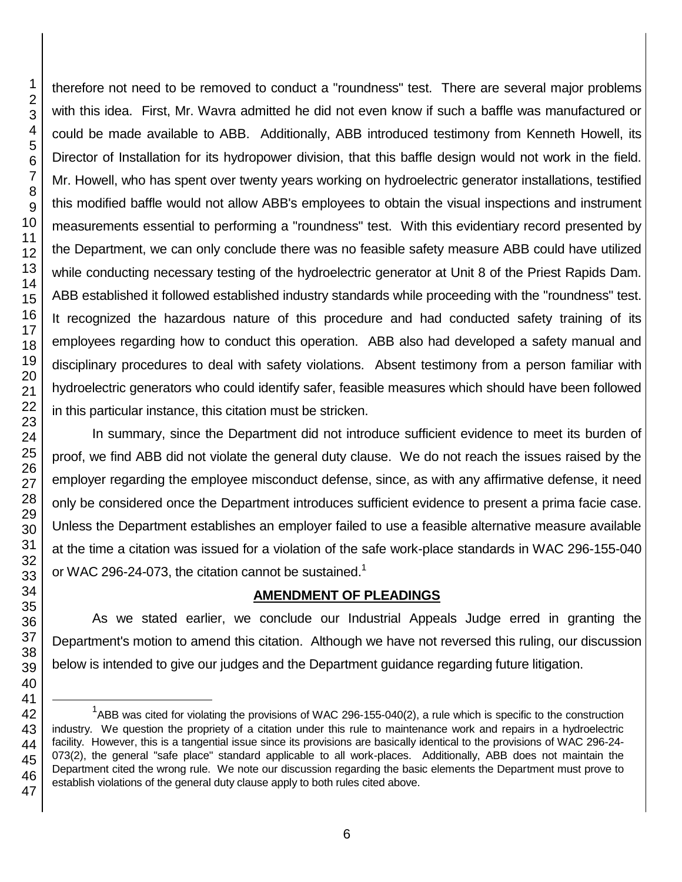l

therefore not need to be removed to conduct a "roundness" test. There are several major problems with this idea. First, Mr. Wavra admitted he did not even know if such a baffle was manufactured or could be made available to ABB. Additionally, ABB introduced testimony from Kenneth Howell, its Director of Installation for its hydropower division, that this baffle design would not work in the field. Mr. Howell, who has spent over twenty years working on hydroelectric generator installations, testified this modified baffle would not allow ABB's employees to obtain the visual inspections and instrument measurements essential to performing a "roundness" test. With this evidentiary record presented by the Department, we can only conclude there was no feasible safety measure ABB could have utilized while conducting necessary testing of the hydroelectric generator at Unit 8 of the Priest Rapids Dam. ABB established it followed established industry standards while proceeding with the "roundness" test. It recognized the hazardous nature of this procedure and had conducted safety training of its employees regarding how to conduct this operation. ABB also had developed a safety manual and disciplinary procedures to deal with safety violations. Absent testimony from a person familiar with hydroelectric generators who could identify safer, feasible measures which should have been followed in this particular instance, this citation must be stricken.

In summary, since the Department did not introduce sufficient evidence to meet its burden of proof, we find ABB did not violate the general duty clause. We do not reach the issues raised by the employer regarding the employee misconduct defense, since, as with any affirmative defense, it need only be considered once the Department introduces sufficient evidence to present a prima facie case. Unless the Department establishes an employer failed to use a feasible alternative measure available at the time a citation was issued for a violation of the safe work-place standards in WAC 296-155-040 or WAC 296-24-073, the citation cannot be sustained.<sup>1</sup>

### **AMENDMENT OF PLEADINGS**

As we stated earlier, we conclude our Industrial Appeals Judge erred in granting the Department's motion to amend this citation. Although we have not reversed this ruling, our discussion below is intended to give our judges and the Department guidance regarding future litigation.

ABB was cited for violating the provisions of WAC 296-155-040(2), a rule which is specific to the construction industry. We question the propriety of a citation under this rule to maintenance work and repairs in a hydroelectric facility. However, this is a tangential issue since its provisions are basically identical to the provisions of WAC 296-24- 073(2), the general "safe place" standard applicable to all work-places. Additionally, ABB does not maintain the Department cited the wrong rule. We note our discussion regarding the basic elements the Department must prove to establish violations of the general duty clause apply to both rules cited above.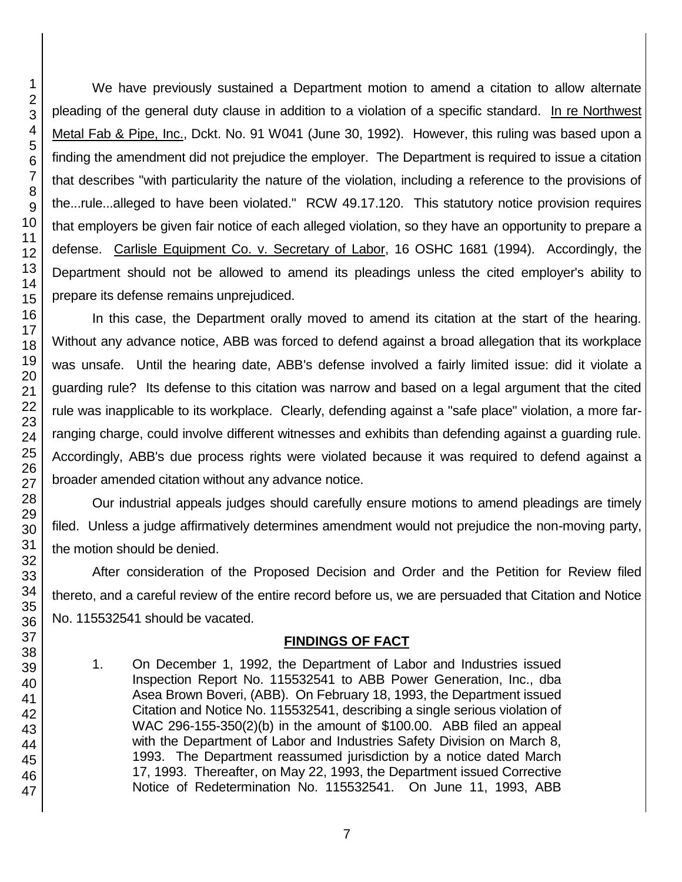We have previously sustained a Department motion to amend a citation to allow alternate pleading of the general duty clause in addition to a violation of a specific standard. In re Northwest Metal Fab & Pipe, Inc., Dckt. No. 91 W041 (June 30, 1992). However, this ruling was based upon a finding the amendment did not prejudice the employer. The Department is required to issue a citation that describes "with particularity the nature of the violation, including a reference to the provisions of the...rule...alleged to have been violated." RCW 49.17.120. This statutory notice provision requires that employers be given fair notice of each alleged violation, so they have an opportunity to prepare a defense. Carlisle Equipment Co. v. Secretary of Labor, 16 OSHC 1681 (1994). Accordingly, the Department should not be allowed to amend its pleadings unless the cited employer's ability to prepare its defense remains unprejudiced.

In this case, the Department orally moved to amend its citation at the start of the hearing. Without any advance notice, ABB was forced to defend against a broad allegation that its workplace was unsafe. Until the hearing date, ABB's defense involved a fairly limited issue: did it violate a guarding rule? Its defense to this citation was narrow and based on a legal argument that the cited rule was inapplicable to its workplace. Clearly, defending against a "safe place" violation, a more farranging charge, could involve different witnesses and exhibits than defending against a guarding rule. Accordingly, ABB's due process rights were violated because it was required to defend against a broader amended citation without any advance notice.

Our industrial appeals judges should carefully ensure motions to amend pleadings are timely filed. Unless a judge affirmatively determines amendment would not prejudice the non-moving party, the motion should be denied.

After consideration of the Proposed Decision and Order and the Petition for Review filed thereto, and a careful review of the entire record before us, we are persuaded that Citation and Notice No. 115532541 should be vacated.

# **FINDINGS OF FACT**

1. On December 1, 1992, the Department of Labor and Industries issued Inspection Report No. 115532541 to ABB Power Generation, Inc., dba Asea Brown Boveri, (ABB). On February 18, 1993, the Department issued Citation and Notice No. 115532541, describing a single serious violation of WAC 296-155-350(2)(b) in the amount of \$100.00. ABB filed an appeal with the Department of Labor and Industries Safety Division on March 8, 1993. The Department reassumed jurisdiction by a notice dated March 17, 1993. Thereafter, on May 22, 1993, the Department issued Corrective Notice of Redetermination No. 115532541. On June 11, 1993, ABB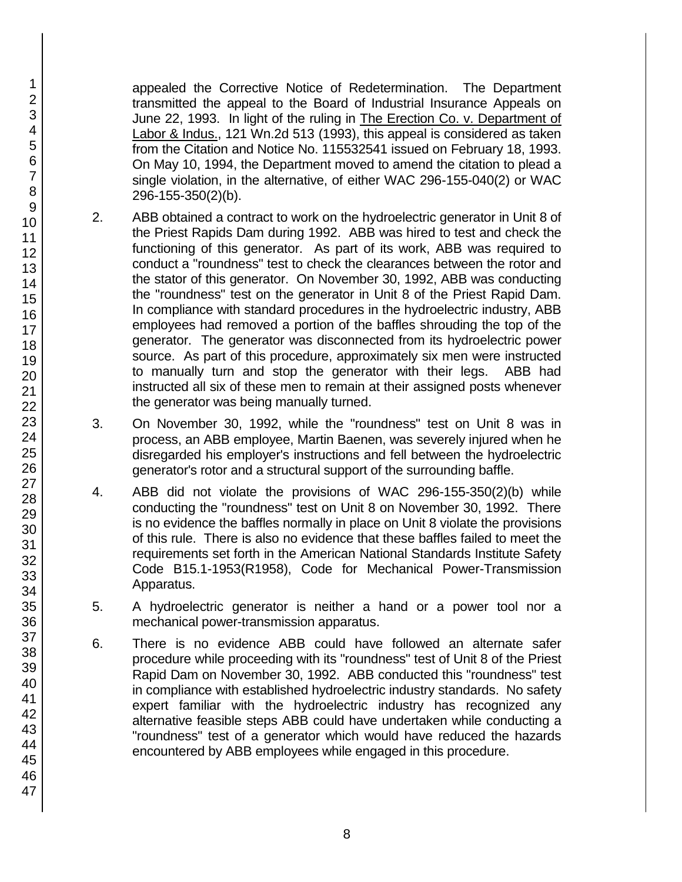appealed the Corrective Notice of Redetermination. The Department transmitted the appeal to the Board of Industrial Insurance Appeals on June 22, 1993. In light of the ruling in The Erection Co. v. Department of Labor & Indus., 121 Wn.2d 513 (1993), this appeal is considered as taken from the Citation and Notice No. 115532541 issued on February 18, 1993. On May 10, 1994, the Department moved to amend the citation to plead a single violation, in the alternative, of either WAC 296-155-040(2) or WAC 296-155-350(2)(b).

- 2. ABB obtained a contract to work on the hydroelectric generator in Unit 8 of the Priest Rapids Dam during 1992. ABB was hired to test and check the functioning of this generator. As part of its work, ABB was required to conduct a "roundness" test to check the clearances between the rotor and the stator of this generator. On November 30, 1992, ABB was conducting the "roundness" test on the generator in Unit 8 of the Priest Rapid Dam. In compliance with standard procedures in the hydroelectric industry, ABB employees had removed a portion of the baffles shrouding the top of the generator. The generator was disconnected from its hydroelectric power source. As part of this procedure, approximately six men were instructed to manually turn and stop the generator with their legs. ABB had instructed all six of these men to remain at their assigned posts whenever the generator was being manually turned.
- 3. On November 30, 1992, while the "roundness" test on Unit 8 was in process, an ABB employee, Martin Baenen, was severely injured when he disregarded his employer's instructions and fell between the hydroelectric generator's rotor and a structural support of the surrounding baffle.
- 4. ABB did not violate the provisions of WAC 296-155-350(2)(b) while conducting the "roundness" test on Unit 8 on November 30, 1992. There is no evidence the baffles normally in place on Unit 8 violate the provisions of this rule. There is also no evidence that these baffles failed to meet the requirements set forth in the American National Standards Institute Safety Code B15.1-1953(R1958), Code for Mechanical Power-Transmission Apparatus.
- 5. A hydroelectric generator is neither a hand or a power tool nor a mechanical power-transmission apparatus.
- 6. There is no evidence ABB could have followed an alternate safer procedure while proceeding with its "roundness" test of Unit 8 of the Priest Rapid Dam on November 30, 1992. ABB conducted this "roundness" test in compliance with established hydroelectric industry standards. No safety expert familiar with the hydroelectric industry has recognized any alternative feasible steps ABB could have undertaken while conducting a "roundness" test of a generator which would have reduced the hazards encountered by ABB employees while engaged in this procedure.